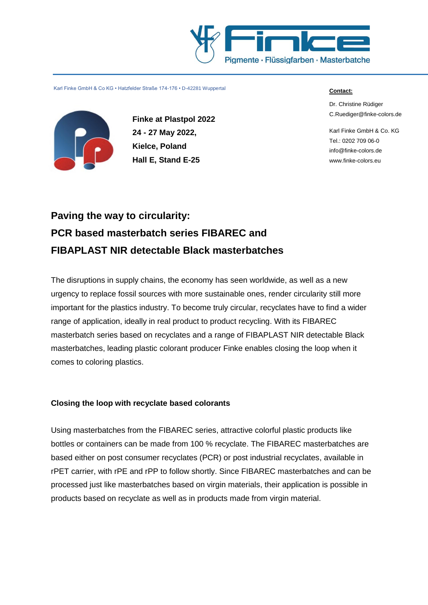



**Finke at Plastpol 2022 24 - 27 May 2022, Kielce, Poland Hall E, Stand E-25**

#### **Contact:**

Dr. Christine Rüdiger [C.Ruediger@finke-colors.de](mailto:C.Ruediger@finke-colors.de)

Karl Finke GmbH & Co. KG Tel.: 0202 709 06-0 [info@finke-colors.de](mailto:info@finke-colors.de) www.finke-colors.eu

# **Paving the way to circularity: PCR based masterbatch series FIBAREC and FIBAPLAST NIR detectable Black masterbatches**

The disruptions in supply chains, the economy has seen worldwide, as well as a new urgency to replace fossil sources with more sustainable ones, render circularity still more important for the plastics industry. To become truly circular, recyclates have to find a wider range of application, ideally in real product to product recycling. With its FIBAREC masterbatch series based on recyclates and a range of FIBAPLAST NIR detectable Black masterbatches, leading plastic colorant producer Finke enables closing the loop when it comes to coloring plastics.

## **Closing the loop with recyclate based colorants**

Using masterbatches from the FIBAREC series, attractive colorful plastic products like bottles or containers can be made from 100 % recyclate. The FIBAREC masterbatches are based either on post consumer recyclates (PCR) or post industrial recyclates, available in rPET carrier, with rPE and rPP to follow shortly. Since FIBAREC masterbatches and can be processed just like masterbatches based on virgin materials, their application is possible in products based on recyclate as well as in products made from virgin material.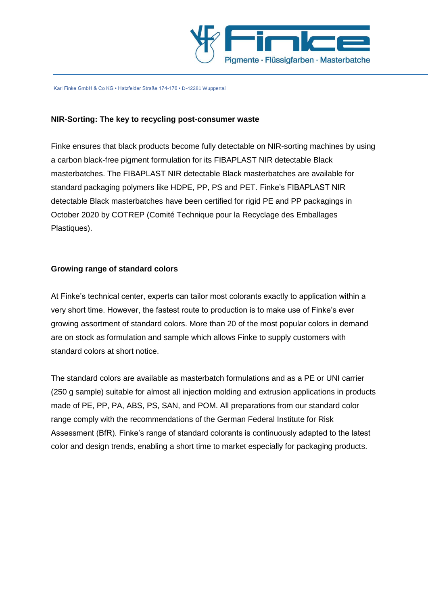

### **NIR-Sorting: The key to recycling post-consumer waste**

Finke ensures that black products become fully detectable on NIR-sorting machines by using a carbon black-free pigment formulation for its FIBAPLAST NIR detectable Black masterbatches. The FIBAPLAST NIR detectable Black masterbatches are available for standard packaging polymers like HDPE, PP, PS and PET. Finke's FIBAPLAST NIR detectable Black masterbatches have been certified for rigid PE and PP packagings in October 2020 by COTREP (Comité Technique pour la Recyclage des Emballages Plastiques).

#### **Growing range of standard colors**

At Finke's technical center, experts can tailor most colorants exactly to application within a very short time. However, the fastest route to production is to make use of Finke's ever growing assortment of standard colors. More than 20 of the most popular colors in demand are on stock as formulation and sample which allows Finke to supply customers with standard colors at short notice.

The standard colors are available as masterbatch formulations and as a PE or UNI carrier (250 g sample) suitable for almost all injection molding and extrusion applications in products made of PE, PP, PA, ABS, PS, SAN, and POM. All preparations from our standard color range comply with the recommendations of the German Federal Institute for Risk Assessment (BfR). Finke's range of standard colorants is continuously adapted to the latest color and design trends, enabling a short time to market especially for packaging products.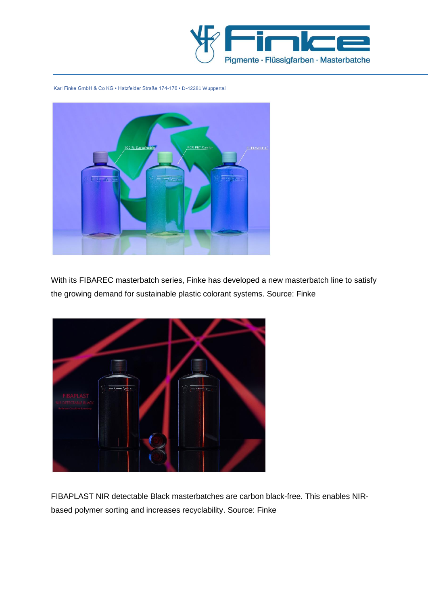



With its FIBAREC masterbatch series, Finke has developed a new masterbatch line to satisfy the growing demand for sustainable plastic colorant systems. Source: Finke



FIBAPLAST NIR detectable Black masterbatches are carbon black-free. This enables NIRbased polymer sorting and increases recyclability. Source: Finke